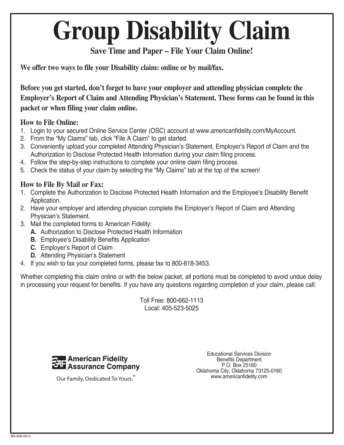# **Group Disability Claim**

### **Save Time and Paper – File Your Claim Online!**

**We offer two ways to file your Disability claim: online or by mail/fax.**

**Before you get started, don't forget to have your employer and attending physician complete the Employer's Report of Claim and Attending Physician's Statement. These forms can be found in this packet or when filing your claim online.**

### **How to File Online:**

- 1. Login to your secured Online Service Center (OSC) account at www.americanfidelity.com/MyAccount.
- 2. From the "My Claims" tab, click "File A Claim" to get started.
- 3. Conveniently upload your completed Attending Physician's Statement, Employer's Report of Claim and the Authorization to Disclose Protected Health Information during your claim filing process.
- 4. Follow the step-by-step instructions to complete your online claim filing process.
- 5. Check the status of your claim by selecting the "My Claims" tab at the top of the screen!

### **How to File By Mail or Fax:**

- 1. Complete the Authorization to Disclose Protected Health Information and the Employee's Disability Benefit Application.
- 2. Have your employer and attending physician complete the Employer's Report of Claim and Attending Physician's Statement.
- 3. Mail the completed forms to American Fidelity:
	- **A.** Authorization to Disclose Protected Health Information
	- **B.** Employee's Disability Benefits Application
	- **C.** Employer's Report of Claim
	- **D.** Attending Physician's Statement
- 4. If you wish to fax your completed forms, please fax to 800-818-3453.

Whether completing this claim online or with the below packet, all portions must be completed to avoid undue delay in processing your request for benefits. If you have any questions regarding completion of your claim, please call:

> Toll Free: 800-662-1113 Local: 405-523-5025



Our Family, Dedicated To Yours.

Educational Services Division Benefits Department P.O. Box 25160 Oklahoma City, Oklahoma 73125-0160 www.americanfidelity.com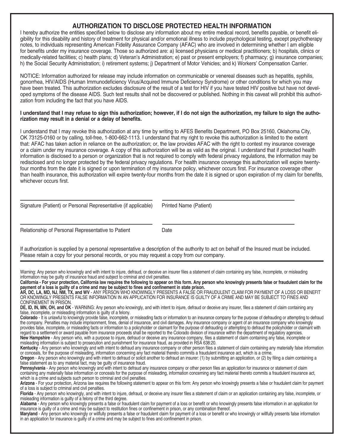### **AUTHORIZATION TO DISCLOSE PROTECTED HEALTH INFORMATION**

I hereby authorize the entities specified below to disclose any information about my entire medical record, benefits payable, or benefit eligibility for this disability and history of treatment for physical and/or emotional illness to include psychological testing, except psychotherapy notes, to individuals representing American Fidelity Assurance Company (AFAC) who are involved in determining whether I am eligible for benefits under my insurance coverage. Those so authorized are: a) licensed physicians or medical practitioners; b) hospitals, clinics or medically-related facilities; c) health plans; d) Veteran's Administration; e) past or present employers; f) pharmacy; g) insurance companies; h) the Social Security Administration; i) retirement systems; j) Department of Motor Vehicles; and k) Workers' Compensation Carrier.

NOTICE: Information authorized for release may include information on communicable or venereal diseases such as hepatitis, syphilis, gonorrhea, HIV/AIDS (Human Immunodeficiency Virus/Acquired Immune Deficiency Syndrome) or other conditions for which you may have been treated. This authorization excludes disclosure of the result of a test for HIV if you have tested HIV positive but have not developed symptoms of the disease AIDS. Such test results shall not be discovered or published. Nothing in this caveat will prohibit this authorization from including the fact that you have AIDS.

#### **I understand that I may refuse to sign this authorization; however, if I do not sign the authorization, my failure to sign the authorization may result in a denial or a delay of benefits.**

I understand that I may revoke this authorization at any time by writing to AFES Benefits Department, PO Box 25160, Oklahoma City, OK 73125-0160 or by calling, toll-free, 1-800-662-1113. I understand that my right to revoke this authorization is limited to the extent that: AFAC has taken action in reliance on the authorization; or, the law provides AFAC with the right to contest my insurance coverage or a claim under my insurance coverage. A copy of this authorization will be as valid as the original. I understand that if protected health information is disclosed to a person or organization that is not required to comply with federal privacy regulations, the information may be redisclosed and no longer protected by the federal privacy regulations. For health insurance coverage this authorization will expire twentyfour months from the date it is signed or upon termination of my insurance policy, whichever occurs first. For insurance coverage other than health insurance, this authorization will expire twenty-four months from the date it is signed or upon expiration of my claim for benefits, whichever occurs first.

|  |  |  | Signature (Patient) or Personal Representative (if applicable) |  |
|--|--|--|----------------------------------------------------------------|--|
|--|--|--|----------------------------------------------------------------|--|

Printed Name (Patient)

Relationship of Personal Representative to Patient Date

If authorization is supplied by a personal representative a description of the authority to act on behalf of the Insured must be included. Please retain a copy for your personal records, or you may request a copy from our company.

Warning: Any person who knowingly and with intent to injure, defraud, or deceive an insurer files a statement of claim containing any false, incomplete, or misleading information may be guilty of insurance fraud and subject to criminal and civil penalties.

**California - For your protection, California law requires the following to appear on this form. Any person who knowingly presents false or fraudulent claim for the payment of a loss is guilty of a crime and may be subject to fines and confinement in state prison.**

**AR, DC, LA, MD, NJ, NM, TX, and WV** - ANY PERSON WHO KNOWINGLY PRESENTS A FALSE OR FRAUDULENT CLAIM FOR PAYMENT OF A LOSS OR BENEFIT OR KNOWINGLY PRESENTS FALSE INFORMATION IN AN APPLICATION FOR INSURANCE IS GUILTY OF A CRIME AND MAY BE SUBJECT TO FINES AND CONFINEMENT IN PRISON.

**DE, ID, IN, MN, OH, and OK** - WARNING: Any person who knowingly, and with intent to injure, defraud or deceive any insurer, files a statement of claim containing any false, incomplete, or misleading information is guilty of a felony.

**Colorado** - It is unlawful to knowingly provide false, incomplete, or misleading facts or information to an insurance company for the purpose of defrauding or attempting to defraud the company. Penalties may include imprisonment, fines, denial of insurance, and civil damages. Any insurance company or agent of an insurance company who knowingly provides false, incomplete, or misleading facts or information to a policyholder or claimant for the purpose of defrauding or attempting to defraud the policyholder or claimant with regard to a settlement or award payable from insurance proceeds shall be reported to the Colorado division of insurance within the department of regulatory agencies. **New Hampshire** - Any person who, with a purpose to injure, defraud or deceive any insurance company, files a statement of claim containing any false, incomplete or misleading information is subject to prosecution and punishment for insurance fraud, as provided in RSA 638:20.

**Kentucky** - Any person who knowingly and with intent to defraud any insurance company or other person files a statement of claim containing any materially false information or conceals, for the purpose of misleading, information concerning any fact material thereto commits a fraudulent insurance act, which is a crime.

**Oregon** - Any person who knowingly and with intent to defraud or solicit another to defraud an insurer: (1) by submitting an application, or (2) by filing a claim containing a false statement as to any material fact, may be guilty of insurance fraud.

Pennsylvania - Any person who knowingly and with intent to defraud any insurance company or other person files an application for insurance or statement of claim containing any materially false information or conceals for the purpose of misleading, information concerning any fact material thereto commits a fraudulent insurance act, which is a crime and subjects such person to criminal and civil penalties.

**Arizona** - For your protection, Arizona law requires the following statement to appear on this form: Any person who knowingly presents a false or fraudulent claim for payment of a loss is subject to criminal and civil penalties.

**Florida** - Any person who knowingly, and with intent to injure, defraud, or deceive any insurer files a statement of claim or an application containing any false, incomplete, or misleading information is guilty of a felony of the third degree.

Alabama<sup>-</sup> Any person who knowingly presents a false or fraudulent claim for payment of a loss or benefit or who knowingly presents false information in an application for insurance is guilty of a crime and may be subject to restitution fines or confinement in prison, or any combination thereof.

**Maryland** - Any person who knowingly or willfully presents a false or fraudulent claim for payment of a loss or benefit or who knowingly or willfully presents false information in an application for insurance is guilty of a crime and may be subject to fines and confinement in prison.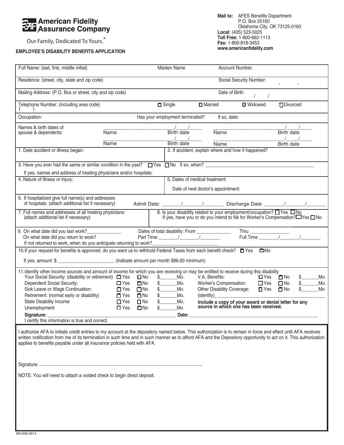## **24 American Fidelity**<br>24 Assurance Company

Our Family, Dedicated To Yours.<sup>®</sup>

### **EMPLOYEE'S DISABILITY BENEFITS APPLICATION**

| Full Name: (last, first, middle initial)                                                                                                                                                                                                                                                                                                                                                                      |                                                                          | Maiden Name                                    |                                                                        | Account Number:                                                                                 |                                                                                                           |
|---------------------------------------------------------------------------------------------------------------------------------------------------------------------------------------------------------------------------------------------------------------------------------------------------------------------------------------------------------------------------------------------------------------|--------------------------------------------------------------------------|------------------------------------------------|------------------------------------------------------------------------|-------------------------------------------------------------------------------------------------|-----------------------------------------------------------------------------------------------------------|
| Residence: (street, city, state and zip code)                                                                                                                                                                                                                                                                                                                                                                 |                                                                          |                                                |                                                                        | Social Security Number:                                                                         |                                                                                                           |
| Mailing Address: (P.O. Box or street, city and zip code)                                                                                                                                                                                                                                                                                                                                                      |                                                                          |                                                |                                                                        | Date of Birth:                                                                                  |                                                                                                           |
| Telephone Number: (including area code)                                                                                                                                                                                                                                                                                                                                                                       |                                                                          | $\Box$ Single                                  | <b>D</b> Married                                                       | <b>I</b> Widowed                                                                                | <b>□</b> Divorced                                                                                         |
| Occupation:                                                                                                                                                                                                                                                                                                                                                                                                   |                                                                          | Has your employment terminated?                | If so, date:                                                           |                                                                                                 |                                                                                                           |
| Names & birth dates of<br>spouse & dependents:                                                                                                                                                                                                                                                                                                                                                                | <b>Name</b>                                                              | Birth date                                     | <b>Name</b>                                                            |                                                                                                 | Birth date                                                                                                |
|                                                                                                                                                                                                                                                                                                                                                                                                               | Name                                                                     | Birth date                                     | Name                                                                   |                                                                                                 | Birth date                                                                                                |
| 1. Date accident or illness began:                                                                                                                                                                                                                                                                                                                                                                            |                                                                          |                                                |                                                                        | 2. If accident, explain where and how it happened?                                              |                                                                                                           |
| 3. Have you ever had the same or similar condition in the past? $\Box$ Yes $\Box$ No If so, when?                                                                                                                                                                                                                                                                                                             |                                                                          |                                                |                                                                        |                                                                                                 |                                                                                                           |
| If yes, names and address of treating physicians and/or hospitals:                                                                                                                                                                                                                                                                                                                                            |                                                                          |                                                |                                                                        |                                                                                                 |                                                                                                           |
| 4. Nature of illness or injury:                                                                                                                                                                                                                                                                                                                                                                               |                                                                          |                                                | 5. Dates of medical treatment:                                         |                                                                                                 |                                                                                                           |
|                                                                                                                                                                                                                                                                                                                                                                                                               |                                                                          |                                                | Date of next doctor's appointment:                                     |                                                                                                 |                                                                                                           |
| 6. If hospitalized give full name(s) and addresses<br>of hospitals: (attach additional list if necessary)                                                                                                                                                                                                                                                                                                     |                                                                          |                                                |                                                                        |                                                                                                 |                                                                                                           |
| 7. Full names and addresses of all treating physicians:<br>(attach additional list if necessary)                                                                                                                                                                                                                                                                                                              |                                                                          |                                                |                                                                        | 8. Is your disability related to your employment/occupation? □ Yes □ No                         | If yes, have you or do you intend to file for Worker's Compensation?□Yes□No                               |
| 9. On what date did you last work?<br>On what date did you return to work?<br>If not returned to work, when do you anticipate returning to work?                                                                                                                                                                                                                                                              |                                                                          | Dates of total disability: From ______________ |                                                                        |                                                                                                 | Thru $\frac{1}{\text{Full Time}}$                                                                         |
| 10. If your request for benefits is approved, do you want us to withhold Federal Taxes from each benefit check? $\Box$ Yes $\Box$ No                                                                                                                                                                                                                                                                          |                                                                          |                                                |                                                                        |                                                                                                 |                                                                                                           |
| If yes, amount: \$                                                                                                                                                                                                                                                                                                                                                                                            |                                                                          |                                                |                                                                        |                                                                                                 |                                                                                                           |
| 11. Identify other income sources and amount of income for which you are receiving or may be entitled to receive during this disability<br>Your Social Security: (disability or retirement) $\Box$ Yes<br>Dependent Social Security:<br>Sick Leave or Wage Continuation:                                                                                                                                      | $\square$ No<br>$\Box$ Yes<br>$\square$ No<br>$\Box$ Yes<br>$\square$ No | s<br>Mo.<br>Mo.<br>$\frac{1}{2}$<br>Mo.        | V.A. Benefits:<br>Worker's Compensation:<br>Other Disability Coverage: | $\Box$ Yes<br>$\blacksquare$ Yes                                                                | $\Box$ Yes $\Box$ No<br>\$<br>Mo.<br>$\Box$ No<br>$\frac{1}{2}$<br>Mo.<br>$\Box$ No<br>Mo<br>$\mathbb{S}$ |
| Retirement: (normal early or disability)                                                                                                                                                                                                                                                                                                                                                                      | $\Box$ Yes<br>$\square$ No                                               | s<br>Mo.                                       | (identity)                                                             |                                                                                                 |                                                                                                           |
| State Disability Income<br>Unemployment                                                                                                                                                                                                                                                                                                                                                                       | $\Box$ Yes<br>$\Box$ No<br>$\square$ Yes<br>$\square$ No                 | Mo.<br>Mo<br>$\mathbb S$                       |                                                                        | Include a copy of your award or denial letter for any<br>source in which one has been received. |                                                                                                           |
| Signature:                                                                                                                                                                                                                                                                                                                                                                                                    |                                                                          | Date:                                          |                                                                        |                                                                                                 |                                                                                                           |
| I certify this information is true and correct.                                                                                                                                                                                                                                                                                                                                                               |                                                                          |                                                |                                                                        |                                                                                                 |                                                                                                           |
| I authorize AFA to initiate credit entries to my account at the depository named below. This authorization is to remain in force and effect until AFA receives<br>written notification from me of its termination in such time and in such manner as to afford AFA and the Depository opportunity to act on it. This authorization<br>applies to benefits payable under all insurance policies held with AFA. |                                                                          |                                                |                                                                        |                                                                                                 |                                                                                                           |
|                                                                                                                                                                                                                                                                                                                                                                                                               |                                                                          |                                                |                                                                        |                                                                                                 |                                                                                                           |
| NOTE: You will need to attach a voided check to begin direct deposit.                                                                                                                                                                                                                                                                                                                                         |                                                                          |                                                |                                                                        |                                                                                                 |                                                                                                           |
|                                                                                                                                                                                                                                                                                                                                                                                                               |                                                                          |                                                |                                                                        |                                                                                                 |                                                                                                           |
|                                                                                                                                                                                                                                                                                                                                                                                                               |                                                                          |                                                |                                                                        |                                                                                                 |                                                                                                           |
|                                                                                                                                                                                                                                                                                                                                                                                                               |                                                                          |                                                |                                                                        |                                                                                                 |                                                                                                           |
|                                                                                                                                                                                                                                                                                                                                                                                                               |                                                                          |                                                |                                                                        |                                                                                                 |                                                                                                           |
|                                                                                                                                                                                                                                                                                                                                                                                                               |                                                                          |                                                |                                                                        |                                                                                                 |                                                                                                           |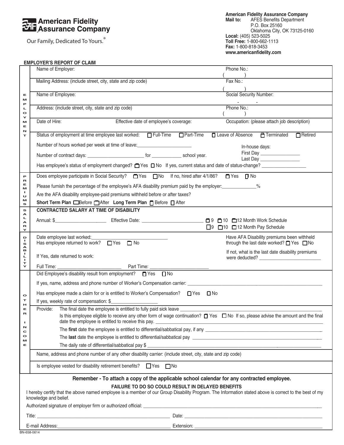### **American Fidelity<br>
Assurance Company**

Our Family, Dedicated To Yours.®

**American Fidelity Assurance Company Mail to:** AFES Benefits Department P.O. Box 25160 Oklahoma City, OK 73125-0160 **Local:** (405) 523-5025 **Toll Free:** 1-800-662-1113 **Fax:** 1-800-818-3453 **www.americanfidelity.com**

#### **EMPLOYER'S REPORT OF CLAIM**

|                                                                                                                                                                                                                                     | Phone No.:<br>Name of Employer:                                                                                                                                                                                                   |                                                                                                  |  |  |  |  |
|-------------------------------------------------------------------------------------------------------------------------------------------------------------------------------------------------------------------------------------|-----------------------------------------------------------------------------------------------------------------------------------------------------------------------------------------------------------------------------------|--------------------------------------------------------------------------------------------------|--|--|--|--|
|                                                                                                                                                                                                                                     | $\frac{)}{$ Fax No.:<br>Mailing Address: (include street, city, state and zip code)                                                                                                                                               |                                                                                                  |  |  |  |  |
|                                                                                                                                                                                                                                     | Name of Employee:                                                                                                                                                                                                                 | Social Security Number:                                                                          |  |  |  |  |
| Е<br>M                                                                                                                                                                                                                              |                                                                                                                                                                                                                                   |                                                                                                  |  |  |  |  |
| Р<br>щ<br>$\bullet$                                                                                                                                                                                                                 | Address: (include street, city, state and zip code)                                                                                                                                                                               | Phone No.:                                                                                       |  |  |  |  |
| Y<br>м                                                                                                                                                                                                                              | Date of Hire:<br>Effective date of employee's coverage:                                                                                                                                                                           | Occupation: (please attach job description)                                                      |  |  |  |  |
| Е<br>N                                                                                                                                                                                                                              |                                                                                                                                                                                                                                   |                                                                                                  |  |  |  |  |
| т                                                                                                                                                                                                                                   |                                                                                                                                                                                                                                   | □ Leave of Absence □ Terminated<br>$\Box$ Retired                                                |  |  |  |  |
|                                                                                                                                                                                                                                     | Number of hours worked per week at time of leave: ______________________________                                                                                                                                                  | In-house days:                                                                                   |  |  |  |  |
|                                                                                                                                                                                                                                     |                                                                                                                                                                                                                                   | First Day                                                                                        |  |  |  |  |
|                                                                                                                                                                                                                                     | Has employee's status of employment changed? T Yes T No If yes, current status and date of status-change?                                                                                                                         | Last Day _________________                                                                       |  |  |  |  |
| P                                                                                                                                                                                                                                   | Does employee participate in Social Security?<br>$\Box$ Yes<br>$\Box$ No  If no, hired after 4/1/86?<br>$\Box$ Yes $\Box$ No                                                                                                      |                                                                                                  |  |  |  |  |
| R<br>Е<br>M                                                                                                                                                                                                                         | Please furnish the percentage of the employee's AFA disability premium paid by the employer: ____________%                                                                                                                        |                                                                                                  |  |  |  |  |
| ٠<br>U                                                                                                                                                                                                                              | Are the AFA disability employee-paid premiums withheld before or after taxes?                                                                                                                                                     |                                                                                                  |  |  |  |  |
| м<br>s                                                                                                                                                                                                                              | Short Term Plan EBefore After Long Term Plan F Before After                                                                                                                                                                       |                                                                                                  |  |  |  |  |
| s<br>А                                                                                                                                                                                                                              | <b>CONTRACTED SALARY AT TIME OF DISABILITY</b>                                                                                                                                                                                    |                                                                                                  |  |  |  |  |
| Щ<br>A                                                                                                                                                                                                                              |                                                                                                                                                                                                                                   |                                                                                                  |  |  |  |  |
| R<br>Y                                                                                                                                                                                                                              |                                                                                                                                                                                                                                   | □9 □10 □12 Month Pay Schedule                                                                    |  |  |  |  |
| D<br>J.<br>s<br>A                                                                                                                                                                                                                   | Date employee last worked:<br>Has employee returned to work? $\Box$ Yes $\Box$ No                                                                                                                                                 | Have AFA Disability premiums been withheld<br>through the last date worked? $\Box$ Yes $\Box$ No |  |  |  |  |
| в<br>J.<br>ц<br>$\mathbf{I}$                                                                                                                                                                                                        | If Yes, date returned to work:                                                                                                                                                                                                    | If not, what is the last date disability premiums                                                |  |  |  |  |
| т<br>Y                                                                                                                                                                                                                              |                                                                                                                                                                                                                                   |                                                                                                  |  |  |  |  |
|                                                                                                                                                                                                                                     | Did Employee's disability result from employment? □ Yes □ No                                                                                                                                                                      |                                                                                                  |  |  |  |  |
|                                                                                                                                                                                                                                     |                                                                                                                                                                                                                                   |                                                                                                  |  |  |  |  |
| $\bullet$                                                                                                                                                                                                                           | Has employee made a claim for or is entitled to Worker's Compensation? $\Box$ Yes $\Box$ No                                                                                                                                       |                                                                                                  |  |  |  |  |
| т<br>н                                                                                                                                                                                                                              | If yes, weekly rate of compensation: $$$                                                                                                                                                                                          |                                                                                                  |  |  |  |  |
| Е<br>R                                                                                                                                                                                                                              | Provide: The final date the employee is entitled to fully paid sick leave _______<br>Is this employee eligible to receive any other form of wage continuation? $\Box$ Yes $\Box$ No If so, please advise the amount and the final |                                                                                                  |  |  |  |  |
| п                                                                                                                                                                                                                                   | date the employee is entitled to receive this pay.                                                                                                                                                                                |                                                                                                  |  |  |  |  |
| N<br>C                                                                                                                                                                                                                              |                                                                                                                                                                                                                                   |                                                                                                  |  |  |  |  |
| $\bullet$<br>M                                                                                                                                                                                                                      |                                                                                                                                                                                                                                   |                                                                                                  |  |  |  |  |
| Е                                                                                                                                                                                                                                   | The daily rate of differential/sabbatical pay \$                                                                                                                                                                                  |                                                                                                  |  |  |  |  |
|                                                                                                                                                                                                                                     | Name, address and phone number of any other disability carrier: (include street, city, state and zip code)                                                                                                                        |                                                                                                  |  |  |  |  |
|                                                                                                                                                                                                                                     | Is employee vested for disability retirement benefits? $\Box$ Yes $\Box$ No                                                                                                                                                       |                                                                                                  |  |  |  |  |
|                                                                                                                                                                                                                                     | Remember - To attach a copy of the applicable school calendar for any contracted employee.                                                                                                                                        |                                                                                                  |  |  |  |  |
| FAILURE TO DO SO COULD RESULT IN DELAYED BENEFITS<br>I hereby certify that the above named employee is a member of our Group Disability Program. The Information stated above is correct to the best of my<br>knowledge and belief. |                                                                                                                                                                                                                                   |                                                                                                  |  |  |  |  |
|                                                                                                                                                                                                                                     | Authorized signature of employer firm or authorized official: example and all the state of the state of the state of the state of the state of the state of the state of the state of the state of the state of the state of t    |                                                                                                  |  |  |  |  |
|                                                                                                                                                                                                                                     |                                                                                                                                                                                                                                   |                                                                                                  |  |  |  |  |
|                                                                                                                                                                                                                                     |                                                                                                                                                                                                                                   |                                                                                                  |  |  |  |  |